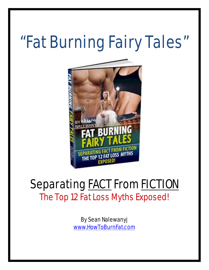# "Fat Burning Fairy Tales"



# **Separating FACT From FICTION** The Top 12 Fat Loss Myths Exposed!

By Sean Nalewanyj [www.HowToBurnFat.com](http://nalewanyjfitness.com/go.php?offer=matynne54&pid=2)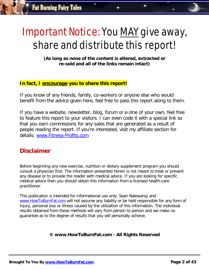# Important Notice: You MAY give away, share and distribute this report!

**(As long as none of the content is altered, extracted or re-sold and all of the links remain intact)**

#### **In fact, I encourage you to share this report!**

If you know of any friends, family, co-workers or anyone else who would benefit from the advice given here, feel free to pass this report along to them.

If you have a website, newsletter, blog, forum or e-zine of your own, feel free to feature this report to your visitors. I can even code it with a special link so that you earn commissions for any sales that are generated as a result of people reading the report. If you're interested, visit my affiliate section for details: [www.Fitness-Profits.com](http://www.fitness-profits.com/)

### **Disclaimer**

Before beginning any new exercise, nutrition or dietary supplement program you should consult a physician first. The information presented herein is not meant to treat or prevent any disease or to provide the reader with medical advice. If you are looking for specific medical advice then you should obtain this information from a licensed health-care practitioner.

This publication is intended for informational use only. Sean Nalewanyj and [www.HowToBurnFat.com](http://nalewanyjfitness.com/go.php?offer=matynne54&pid=2) will not assume any liability or be held responsible for any form of injury, personal loss or illness caused by the utilization of this information. The individual results obtained from these methods will vary from person to person and we make no guarantee as to the degree of results that you will personally achieve.

#### **© www.HowToBurnFat.com - All Rights Reserved**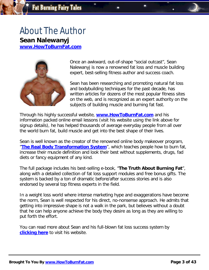# About The Author **Sean Nalewanyj**

**[www.HowToBurnFat.com](http://nalewanyjfitness.com/go.php?offer=matynne54&pid=2)**



Once an awkward, out-of-shape "social outcast", Sean Nalewanyj is now a renowned fat loss and muscle building expert, best-selling fitness author and success coach.

Sean has been researching and promoting natural fat loss and bodybuilding techniques for the past decade, has written articles for dozens of the most popular fitness sites on the web, and is recognized as an expert authority on the subjects of building muscle and burning fat fast.

Through his highly successful website, **[www.HowToBurnFat.com](http://nalewanyjfitness.com/go.php?offer=matynne54&pid=2)** and his information packed online email lessons (visit his website using the link above for signup details), he has helped thousands of average everyday people from all over the world burn fat, build muscle and get into the best shape of their lives.

Sean is well known as the creator of the renowned online body makeover program, "**[The Real Body Transformation System](http://nalewanyjfitness.com/go.php?offer=matynne54&pid=2)**", which teaches people how to burn fat, increase their muscle definition and look their best without supplements, drugs, fad diets or fancy equipment of any kind.

The full package includes his best-selling e-book, "**The Truth About Burning Fat**", along with a detailed collection of fat loss support modules and free bonus gifts. The system is backed by a ton of dramatic before/after success stories and is also endorsed by several top fitness experts in the field.

In a weight loss world where intense marketing hype and exaggerations have become the norm, Sean is well respected for his direct, no-nonsense approach. He admits that getting into impressive shape is not a walk in the park, but believes without a doubt that he can help anyone achieve the body they desire as long as they are willing to put forth the effort.

You can read more about Sean and his full-blown fat loss success system by **[clicking here](http://nalewanyjfitness.com/go.php?offer=matynne54&pid=2)** to visit his website.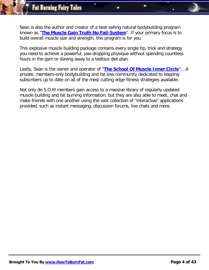Sean is also the author and creator of a best-selling natural bodybuilding program known as "**[The Muscle Gain Truth No Fail-System](http://nalewanyjfitness.com/go.php?offer=matynne54&pid=1)**". If your primary focus is to build overall muscle size and strength, this program is for you.

This explosive muscle building package contains every single tip, trick and strategy you need to achieve a powerful, jaw-dropping physique without spending countless hours in the gym or slaving away to a tedious diet plan.

Lastly, Sean is the owner and operator of "**[The School Of Muscle Inner Circle](http://nalewanyjfitness.com/go.php?offer=matynne54&pid=3)**"… A private, members-only bodybuilding and fat loss community dedicated to keeping subscribers up to date on all of the most cutting edge fitness strategies available.

Not only do S.O.M members gain access to a massive library of regularly updated muscle building and fat burning information, but they are also able to meet, chat and make friends with one another using the vast collection of "interactive" applications provided, such as instant messaging, discussion forums, live chats and more.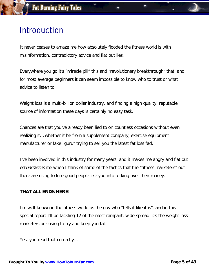# Introduction

It never ceases to amaze me how absolutely flooded the fitness world is with misinformation, contradictory advice and flat out lies.

Everywhere you go it's "miracle pill" this and "revolutionary breakthrough" that, and for most average beginners it can seem impossible to know who to trust or what advice to listen to.

Weight loss is a multi-billion dollar industry, and finding a high quality, reputable source of information these days is certainly no easy task.

Chances are that you've already been lied to on countless occasions without even realizing it… whether it be from a supplement company, exercise equipment manufacturer or fake "guru" trying to sell you the latest fat loss fad.

I've been involved in this industry for many years, and it makes me angry and flat out embarrasses me when I think of some of the tactics that the "fitness marketers" out there are using to lure good people like you into forking over their money.

#### **THAT ALL ENDS HERE!**

I'm well-known in the fitness world as the guy who "tells it like it is", and in this special report I'll be tackling 12 of the most rampant, wide-spread lies the weight loss marketers are using to try and keep you fat.

Yes, you read that correctly…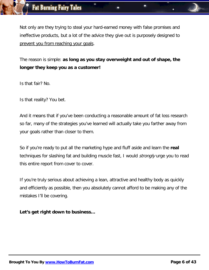Not only are they trying to steal your hard-earned money with false promises and ineffective products, but a lot of the advice they give out is purposely designed to prevent you from reaching your goals.

The reason is simple: **as long as you stay overweight and out of shape, the longer they keep you as a customer!**

Is that fair? No.

Is that reality? You bet.

And it means that if you've been conducting a reasonable amount of fat loss research so far, many of the strategies you've learned will actually take you farther away from your goals rather than closer to them.

So if you're ready to put all the marketing hype and fluff aside and learn the **real**  techniques for slashing fat and building muscle fast, I would *strongly* urge you to read this entire report from cover to cover.

If you're truly serious about achieving a lean, attractive and healthy body as quickly and efficiently as possible, then you absolutely cannot afford to be making any of the mistakes I'll be covering.

**Let's get right down to business…**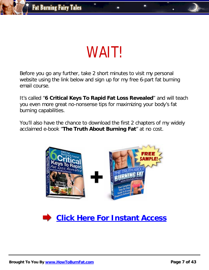

Before you go any further, take 2 short minutes to visit my personal website using the link below and sign up for my free 6-part fat burning email course.

It's called "**6 Critical Keys To Rapid Fat Loss Revealed**" and will teach you even more great no-nonsense tips for maximizing your body's fat burning capabilities.

You'll also have the chance to download the first 2 chapters of my widely acclaimed e-book "**The Truth About Burning Fat**" at no cost.



**[Click Here For Instant Access](http://nalewanyjfitness.com/go.php?offer=matynne54&pid=2)**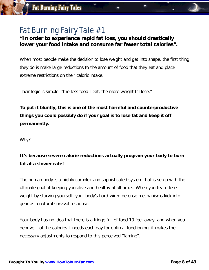#### **"In order to experience rapid fat loss, you should drastically lower your food intake and consume far fewer total calories".**

When most people make the decision to lose weight and get into shape, the first thing they do is make large reductions to the amount of food that they eat and place extreme restrictions on their caloric intake.

Their logic is simple: "the less food I eat, the more weight I'll lose."

**To put it bluntly, this is one of the most harmful and counterproductive things you could possibly do if your goal is to lose fat and keep it off permanently.**

Why?

### **It's because severe calorie reductions actually program your body to burn fat at a slower rate!**

The human body is a highly complex and sophisticated system that is setup with the ultimate goal of keeping you alive and healthy at all times. When you try to lose weight by starving yourself, your body's hard-wired defense mechanisms kick into gear as a natural survival response.

Your body has no idea that there is a fridge full of food 10 feet away, and when you deprive it of the calories it needs each day for optimal functioning, it makes the necessary adjustments to respond to this perceived "famine".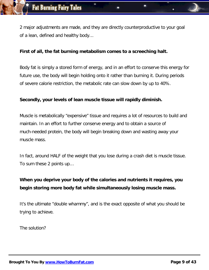2 major adjustments are made, and they are directly counterproductive to your goal of a lean, defined and healthy body…

#### **First of all, the fat burning metabolism comes to a screeching halt.**

Body fat is simply a stored form of energy, and in an effort to conserve this energy for future use, the body will begin holding onto it rather than burning it. During periods of severe calorie restriction, the metabolic rate can slow down by up to 40%.

#### **Secondly, your levels of lean muscle tissue will rapidly diminish.**

Muscle is metabolically "expensive" tissue and requires a lot of resources to build and maintain. In an effort to further conserve energy and to obtain a source of much-needed protein, the body will begin breaking down and wasting away your muscle mass.

In fact, around HALF of the weight that you lose during a crash diet is muscle tissue. To sum these 2 points up…

### **When you deprive your body of the calories and nutrients it requires, you begin storing more body fat while simultaneously losing muscle mass.**

It's the ultimate "double whammy", and is the exact opposite of what you should be trying to achieve.

The solution?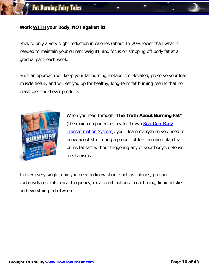#### **Work WITH your body, NOT against it!**

Stick to only a very slight reduction in calories (about 15-20% lower than what is needed to maintain your current weight), and focus on stripping off body fat at a gradual pace each week.

Such an approach will keep your fat burning metabolism elevated, preserve your lean muscle tissue, and will set you up for healthy, long-term fat burning results that no crash-diet could ever produce.



When you read through "**The Truth About Burning Fat**" (the main component of my full-blown Real Deal Body [Transformation System\)](http://nalewanyjfitness.com/go.php?offer=matynne54&pid=2), you'll learn everything you need to know about structuring a proper fat loss nutrition plan that burns fat fast without triggering any of your body's defense mechanisms.

I cover every single topic you need to know about such as calories, protein, carbohydrates, fats, meal frequency, meal combinations, meal timing, liquid intake and everything in between.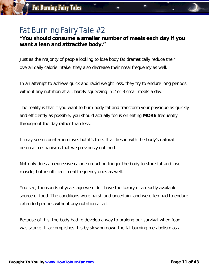#### **"You should consume a smaller number of meals each day if you want a lean and attractive body."**

Just as the majority of people looking to lose body fat dramatically reduce their overall daily calorie intake, they also decrease their meal frequency as well.

In an attempt to achieve quick and rapid weight loss, they try to endure long periods without any nutrition at all, barely squeezing in 2 or 3 small meals a day.

The reality is that if you want to burn body fat and transform your physique as quickly and efficiently as possible, you should actually focus on eating **MORE** frequently throughout the day rather than less.

It may seem counter-intuitive, but it's true. It all ties in with the body's natural defense mechanisms that we previously outlined.

Not only does an excessive calorie reduction trigger the body to store fat and lose muscle, but insufficient meal frequency does as well.

You see, thousands of years ago we didn't have the luxury of a readily available source of food. The conditions were harsh and uncertain, and we often had to endure extended periods without any nutrition at all.

Because of this, the body had to develop a way to prolong our survival when food was scarce. It accomplishes this by slowing down the fat burning metabolism as a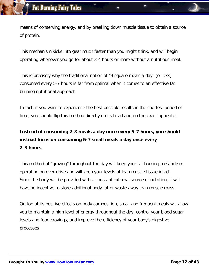means of conserving energy, and by breaking down muscle tissue to obtain a source of protein.

This mechanism kicks into gear much faster than you might think, and will begin operating whenever you go for about 3-4 hours or more without a nutritious meal.

This is precisely why the traditional notion of "3 square meals a day" (or less) consumed every 5-7 hours is far from optimal when it comes to an effective fat burning nutritional approach.

In fact, if you want to experience the best possible results in the shortest period of time, you should flip this method directly on its head and do the exact opposite...

### **Instead of consuming 2-3 meals a day once every 5-7 hours, you should instead focus on consuming 5-7 small meals a day once every 2-3 hours.**

This method of "grazing" throughout the day will keep your fat burning metabolism operating on over-drive and will keep your levels of lean muscle tissue intact. Since the body will be provided with a constant external source of nutrition, it will have no incentive to store additional body fat or waste away lean muscle mass.

On top of its positive effects on body composition, small and frequent meals will allow you to maintain a high level of energy throughout the day, control your blood sugar levels and food cravings, and improve the efficiency of your body's digestive processes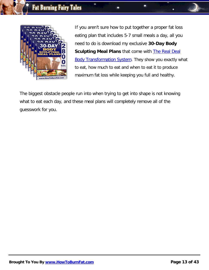

If you aren't sure how to put together a proper fat loss eating plan that includes 5-7 small meals a day, all you need to do is download my exclusive **30-Day Body Sculpting Meal Plans** that come with **The Real Deal [Body Transformation System.](http://nalewanyjfitness.com/go.php?offer=matynne54&pid=2)** They show you exactly what to eat, how much to eat and when to eat it to produce maximum fat loss while keeping you full and healthy.

The biggest obstacle people run into when trying to get into shape is not knowing what to eat each day, and these meal plans will completely remove all of the guesswork for you.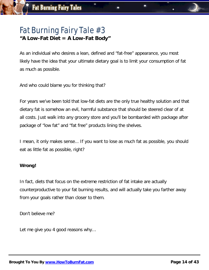### Fat Burning Fairy Tale #3 **"A Low-Fat Diet = A Low-Fat Body"**

As an individual who desires a lean, defined and "fat-free" appearance, you most likely have the idea that your ultimate dietary goal is to limit your consumption of fat as much as possible.

And who could blame you for thinking that?

For years we've been told that low-fat diets are the only true healthy solution and that dietary fat is somehow an evil, harmful substance that should be steered clear of at all costs. Just walk into any grocery store and you'll be bombarded with package after package of "low fat" and "fat free" products lining the shelves.

I mean, it only makes sense... If you want to lose as much fat as possible, you should eat as little fat as possible, right?

#### **Wrong!**

In fact, diets that focus on the extreme restriction of fat intake are actually counterproductive to your fat burning results, and will actually take you farther away from your goals rather than closer to them.

Don't believe me?

Let me give you 4 good reasons why...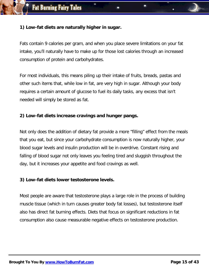#### **1) Low-fat diets are naturally higher in sugar.**

Fats contain 9 calories per gram, and when you place severe limitations on your fat intake, you'll naturally have to make up for those lost calories through an increased consumption of protein and carbohydrates.

For most individuals, this means piling up their intake of fruits, breads, pastas and other such items that, while low in fat, are very high in sugar. Although your body requires a certain amount of glucose to fuel its daily tasks, any excess that isn't needed will simply be stored as fat.

#### **2) Low-fat diets increase cravings and hunger pangs.**

Not only does the addition of dietary fat provide a more "filling" effect from the meals that you eat, but since your carbohydrate consumption is now naturally higher, your blood sugar levels and insulin production will be in overdrive. Constant rising and falling of blood sugar not only leaves you feeling tired and sluggish throughout the day, but it increases your appetite and food cravings as well.

#### **3) Low-fat diets lower testosterone levels.**

Most people are aware that testosterone plays a large role in the process of building muscle tissue (which in turn causes greater body fat losses), but testosterone itself also has direct fat burning effects. Diets that focus on significant reductions in fat consumption also cause measurable negative effects on testosterone production.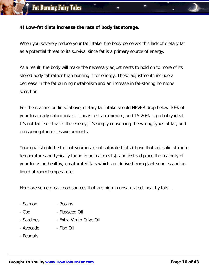#### **4) Low-fat diets increase the rate of body fat storage.**

When you severely reduce your fat intake, the body perceives this lack of dietary fat as a potential threat to its survival since fat is a primary source of energy.

As a result, the body will make the necessary adjustments to hold on to more of its stored body fat rather than burning it for energy. These adjustments include a decrease in the fat burning metabolism and an increase in fat-storing hormone secretion.

For the reasons outlined above, dietary fat intake should NEVER drop below 10% of your total daily caloric intake. This is just a minimum, and 15-20% is probably ideal. It's not fat itself that is the enemy; it's simply consuming the wrong types of fat, and consuming it in excessive amounts.

Your goal should be to limit your intake of saturated fats (those that are solid at room temperature and typically found in animal meats), and instead place the majority of your focus on healthy, unsaturated fats which are derived from plant sources and are liquid at room temperature.

Here are some great food sources that are high in unsaturated, healthy fats…

- Salmon - Pecans
- Cod - Flaxseed Oil
- Sardines - Extra Virgin Olive Oil
- Avocado - Fish Oil
- Peanuts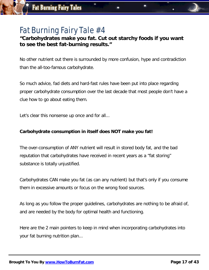#### **"Carbohydrates make you fat. Cut out starchy foods if you want to see the best fat-burning results."**

No other nutrient out there is surrounded by more confusion, hype and contradiction than the all-too-famous carbohydrate.

So much advice, fad diets and hard-fast rules have been put into place regarding proper carbohydrate consumption over the last decade that most people don't have a clue how to go about eating them.

Let's clear this nonsense up once and for all...

#### **Carbohydrate consumption in itself does NOT make you fat!**

The over-consumption of ANY nutrient will result in stored body fat, and the bad reputation that carbohydrates have received in recent years as a "fat storing" substance is totally unjustified.

Carbohydrates CAN make you fat (as can any nutrient) but that's only if you consume them in excessive amounts or focus on the wrong food sources.

As long as you follow the proper guidelines, carbohydrates are nothing to be afraid of, and are needed by the body for optimal health and functioning.

Here are the 2 main pointers to keep in mind when incorporating carbohydrates into your fat burning nutrition plan...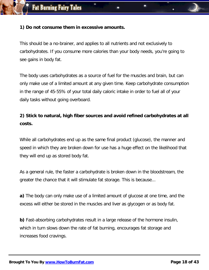#### **1) Do not consume them in excessive amounts.**

This should be a no-brainer, and applies to all nutrients and not exclusively to carbohydrates. If you consume more calories than your body needs, you're going to see gains in body fat.

The body uses carbohydrates as a source of fuel for the muscles and brain, but can only make use of a limited amount at any given time. Keep carbohydrate consumption in the range of 45-55% of your total daily caloric intake in order to fuel all of your daily tasks without going overboard.

### **2) Stick to natural, high fiber sources and avoid refined carbohydrates at all costs.**

While all carbohydrates end up as the same final product (glucose), the manner and speed in which they are broken down for use has a huge effect on the likelihood that they will end up as stored body fat.

As a general rule, the faster a carbohydrate is broken down in the bloodstream, the greater the chance that it will stimulate fat storage. This is because...

**a)** The body can only make use of a limited amount of glucose at one time, and the excess will either be stored in the muscles and liver as glycogen or as body fat.

**b)** Fast-absorbing carbohydrates result in a large release of the hormone insulin, which in turn slows down the rate of fat burning, encourages fat storage and increases food cravings.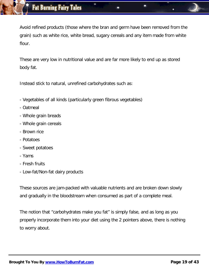Avoid refined products (those where the bran and germ have been removed from the grain) such as white rice, white bread, sugary cereals and any item made from white flour.

These are very low in nutritional value and are far more likely to end up as stored body fat.

Instead stick to natural, unrefined carbohydrates such as:

- Vegetables of all kinds (particularly green fibrous vegetables)
- Oatmeal
- Whole grain breads
- Whole grain cereals
- Brown rice
- Potatoes
- Sweet potatoes
- Yams
- Fresh fruits
- Low-fat/Non-fat dairy products

These sources are jam-packed with valuable nutrients and are broken down slowly and gradually in the bloodstream when consumed as part of a complete meal.

The notion that "carbohydrates make you fat" is simply false, and as long as you properly incorporate them into your diet using the 2 pointers above, there is nothing to worry about.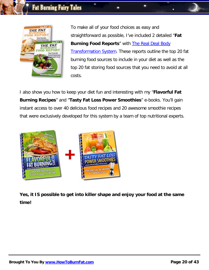

To make all of your food choices as easy and straightforward as possible, I've included 2 detailed "**Fat Burning Food Reports**" with [The Real Deal Body](http://nalewanyjfitness.com/go.php?offer=matynne54&pid=2)  [Transformation System.](http://nalewanyjfitness.com/go.php?offer=matynne54&pid=2) These reports outline the top 20 fat burning food sources to include in your diet as well as the top 20 fat storing food sources that you need to avoid at all costs.

I also show you how to keep your diet fun and interesting with my "**Flavorful Fat Burning Recipes**" and "**Tasty Fat Loss Power Smoothies**" e-books. You'll gain instant access to over 40 delicious food recipes and 20 awesome smoothie recipes that were exclusively developed for this system by a team of top nutritional experts.



**Yes, it IS possible to get into killer shape and enjoy your food at the same time!**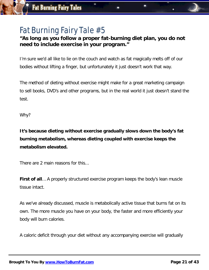#### **"As long as you follow a proper fat-burning diet plan, you do not need to include exercise in your program."**

I'm sure we'd all like to lie on the couch and watch as fat magically melts off of our bodies without lifting a finger, but unfortunately it just doesn't work that way.

The method of dieting without exercise might make for a great marketing campaign to sell books, DVD's and other programs, but in the real world it just doesn't stand the test.

Why?

**It's because dieting without exercise gradually slows down the body's fat burning metabolism, whereas dieting coupled with exercise keeps the metabolism elevated.**

There are 2 main reasons for this...

**First of all**… A properly structured exercise program keeps the body's lean muscle tissue intact.

As we've already discussed, muscle is metabolically active tissue that burns fat on its own. The more muscle you have on your body, the faster and more efficiently your body will burn calories.

A caloric deficit through your diet without any accompanying exercise will gradually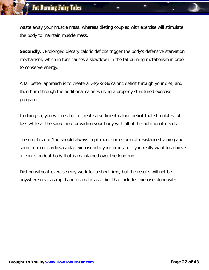waste away your muscle mass, whereas dieting coupled with exercise will stimulate the body to maintain muscle mass.

**Secondly**… Prolonged dietary caloric deficits trigger the body's defensive starvation mechanism, which in turn causes a slowdown in the fat burning metabolism in order to conserve energy.

A far better approach is to create a *very small* caloric deficit through your diet, and then burn through the additional calories using a properly structured exercise program.

In doing so, you will be able to create a sufficient caloric deficit that stimulates fat loss while at the same time providing your body with all of the nutrition it needs.

To sum this up: You should always implement some form of resistance training and some form of cardiovascular exercise into your program if you really want to achieve a lean, standout body that is maintained over the long run.

Dieting without exercise may work for a short time, but the results will not be anywhere near as rapid and dramatic as a diet that includes exercise along with it.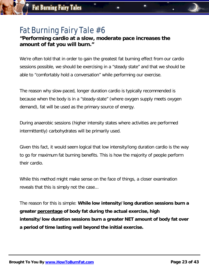#### **"Performing cardio at a slow, moderate pace increases the amount of fat you will burn."**

We're often told that in order to gain the greatest fat burning effect from our cardio sessions possible, we should be exercising in a "steady state" and that we should be able to "comfortably hold a conversation" while performing our exercise.

The reason why slow-paced, longer duration cardio is typically recommended is because when the body is in a "steady-state" (where oxygen supply meets oxygen demand), fat will be used as the primary source of energy.

During anaerobic sessions (higher intensity states where activities are performed intermittently) carbohydrates will be primarily used.

Given this fact, it would seem logical that low intensity/long duration cardio is the way to go for maximum fat burning benefits. This is how the majority of people perform their cardio.

While this method might make sense on the face of things, a closer examination reveals that this is simply not the case...

The reason for this is simple: **While low intensity/long duration sessions burn a greater percentage of body fat during the actual exercise, high intensity/low duration sessions burn a greater NET amount of body fat over a period of time lasting well beyond the initial exercise.**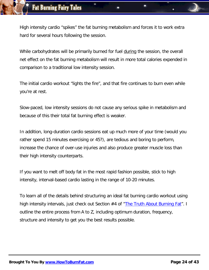High intensity cardio "spikes" the fat burning metabolism and forces it to work extra hard for several hours following the session.

While carbohydrates will be primarily burned for fuel during the session, the overall net effect on the fat burning metabolism will result in more total calories expended in comparison to a traditional low intensity session.

The initial cardio workout "lights the fire", and that fire continues to burn even while you're at rest.

Slow-paced, low intensity sessions do not cause any serious spike in metabolism and because of this their total fat burning effect is weaker.

In addition, long-duration cardio sessions eat up much more of your time (would you rather spend 15 minutes exercising or 45?), are tedious and boring to perform, increase the chance of over-use injuries and also produce greater muscle loss than their high intensity counterparts.

If you want to melt off body fat in the most rapid fashion possible, stick to high intensity, interval-based cardio lasting in the range of 10-20 minutes.

To learn all of the details behind structuring an ideal fat burning cardio workout using high intensity intervals, just check out Section #4 of ["The Truth About Burning Fat"](http://nalewanyjfitness.com/go.php?offer=matynne54&pid=2). I outline the entire process from A to Z, including optimum duration, frequency, structure and intensity to get you the best results possible.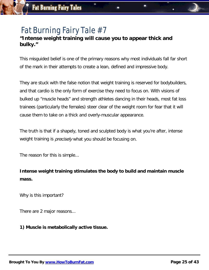#### **"Intense weight training will cause you to appear thick and bulky."**

This misguided belief is one of the primary reasons why most individuals fall far short of the mark in their attempts to create a lean, defined and impressive body.

They are stuck with the false notion that weight training is reserved for bodybuilders, and that cardio is the only form of exercise they need to focus on. With visions of bulked up "muscle heads" and strength athletes dancing in their heads, most fat loss trainees (particularly the females) steer clear of the weight room for fear that it will cause them to take on a thick and overly-muscular appearance.

The truth is that if a shapely, toned and sculpted body is what you're after, intense weight training is *precisely* what you should be focusing on.

The reason for this is simple...

**Intense weight training stimulates the body to build and maintain muscle mass.**

Why is this important?

There are 2 major reasons...

**1) Muscle is metabolically active tissue.**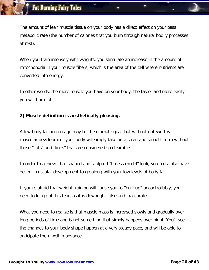The amount of lean muscle tissue on your body has a direct effect on your basal metabolic rate (the number of calories that you burn through natural bodily processes at rest).

When you train intensely with weights, you stimulate an increase in the amount of mitochondria in your muscle fibers, which is the area of the cell where nutrients are converted into energy.

In other words, the more muscle you have on your body, the faster and more easily you will burn fat.

#### **2) Muscle definition is aesthetically pleasing.**

A low body fat percentage may be the ultimate goal, but without noteworthy muscular development your body will simply take on a small and smooth form without those "cuts" and "lines" that are considered so desirable.

In order to achieve that shaped and sculpted "fitness model" look, you must also have decent muscular development to go along with your low levels of body fat.

If you're afraid that weight training will cause you to "bulk up" uncontrollably, you need to let go of this fear, as it is downright false and inaccurate.

What you need to realize is that muscle mass is increased slowly and gradually over long periods of time and is not something that simply happens over night. You'll see the changes to your body shape happen at a very steady pace, and will be able to anticipate them well in advance.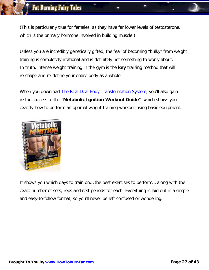(This is particularly true for females, as they have far lower levels of testosterone, which is the primary hormone involved in building muscle.)

Unless you are incredibly genetically gifted, the fear of becoming "bulky" from weight training is completely irrational and is definitely not something to worry about. In truth, intense weight training in the gym is the **key** training method that will re-shape and re-define your entire body as a whole.

When you download [The Real Deal Body Transformation System,](http://nalewanyjfitness.com/go.php?offer=matynne54&pid=2) you'll also gain instant access to the "**Metabolic Ignition Workout Guide**", which shows you exactly how to perform an optimal weight training workout using basic equipment.



It shows you which days to train on… the best exercises to perform… along with the exact number of sets, reps and rest periods for each. Everything is laid out in a simple and easy-to-follow format, so you'll never be left confused or wondering.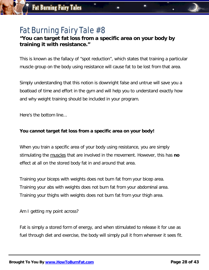#### **"You can target fat loss from a specific area on your body by training it with resistance."**

This is known as the fallacy of "spot reduction", which states that training a particular muscle group on the body using resistance will cause fat to be lost from that area.

Simply understanding that this notion is downright false and untrue will save you a boatload of time and effort in the gym and will help you to understand exactly how and why weight training should be included in your program.

Here's the bottom line...

#### **You cannot target fat loss from a specific area on your body!**

When you train a specific area of your body using resistance, you are simply stimulating the muscles that are involved in the movement. However, this has **no**  effect at all on the stored body fat in and around that area.

Training your biceps with weights does not burn fat from your bicep area. Training your abs with weights does not burn fat from your abdominal area. Training your thighs with weights does not burn fat from your thigh area.

Am I getting my point across?

Fat is simply a stored form of energy, and when stimulated to release it for use as fuel through diet and exercise, the body will simply pull it from wherever it sees fit.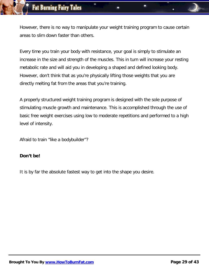However, there is no way to manipulate your weight training program to cause certain areas to slim down faster than others.

Every time you train your body with resistance, your goal is simply to stimulate an increase in the size and strength of the muscles. This in turn will increase your resting metabolic rate and will aid you in developing a shaped and defined looking body. However, don't think that as you're physically lifting those weights that you are directly melting fat from the areas that you're training.

A properly structured weight training program is designed with the sole purpose of stimulating muscle growth and maintenance. This is accomplished through the use of basic free weight exercises using low to moderate repetitions and performed to a high level of intensity.

Afraid to train "like a bodybuilder"?

#### **Don't be!**

It is by far the absolute fastest way to get into the shape you desire.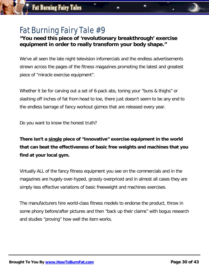#### **"You need this piece of 'revolutionary breakthrough' exercise equipment in order to really transform your body shape."**

We've all seen the late night television infomercials and the endless advertisements strewn across the pages of the fitness magazines promoting the latest and greatest piece of "miracle exercise equipment".

Whether it be for carving out a set of 6-pack abs, toning your "buns & thighs" or slashing off inches of fat from head to toe, there just doesn't seem to be any end to the endless barrage of fancy workout gizmos that are released every year.

Do you want to know the honest truth?

**There isn't a single piece of "innovative" exercise equipment in the world that can beat the effectiveness of basic free weights and machines that you find at your local gym.**

Virtually ALL of the fancy fitness equipment you see on the commercials and in the magazines are hugely over-hyped, grossly overpriced and in almost all cases they are simply less effective variations of basic freeweight and machines exercises.

The manufacturers hire world-class fitness models to endorse the product, throw in some phony before/after pictures and then "back up their claims" with bogus research and studies "proving" how well the item works.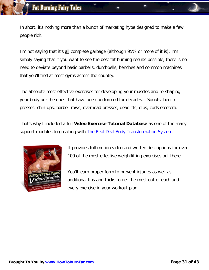In short, it's nothing more than a bunch of marketing hype designed to make a few people rich.

I'm not saying that it's all complete garbage (although 95% or more of it is); I'm simply saying that if you want to see the best fat burning results possible, there is no need to deviate beyond basic barbells, dumbbells, benches and common machines that you'll find at most gyms across the country.

The absolute most effective exercises for developing your muscles and re-shaping your body are the ones that have been performed for decades... Squats, bench presses, chin-ups, barbell rows, overhead presses, deadlifts, dips, curls etcetera.

That's why I included a full **Video Exercise Tutorial Database** as one of the many support modules to go along with [The Real Deal Body Transformation System.](http://nalewanyjfitness.com/go.php?offer=matynne54&pid=2)



It provides full motion video and written descriptions for over 100 of the most effective weightlifting exercises out there.

You'll learn proper form to prevent injuries as well as additional tips and tricks to get the most out of each and every exercise in your workout plan.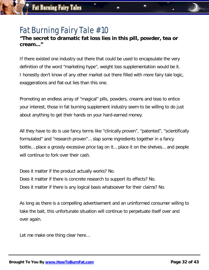#### **"The secret to dramatic fat loss lies in this pill, powder, tea or cream..."**

If there existed one industry out there that could be used to encapsulate the very definition of the word "marketing hype", weight loss supplementation would be it. I honestly don't know of any other market out there filled with more fairy tale logic, exaggerations and flat-out lies than this one.

Promoting an endless array of "magical" pills, powders, creams and teas to entice your interest, those in fat burning supplement industry seem to be willing to do just about anything to get their hands on your hard-earned money.

All they have to do is use fancy terms like "clinically proven", "patented", "scientifically formulated" and "research proven"… slap some ingredients together in a fancy bottle… place a grossly excessive price tag on it… place it on the shelves… and people will continue to fork over their cash.

Does it matter if the product actually works? No.

Does it matter if there is concrete research to support its effects? No. Does it matter if there is any logical basis whatsoever for their claims? No.

As long as there is a compelling advertisement and an uninformed consumer willing to take the bait, this unfortunate situation will continue to perpetuate itself over and over again.

Let me make one thing clear here…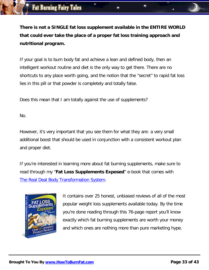**There is not a SINGLE fat loss supplement available in the ENTIRE WORLD that could ever take the place of a proper fat loss training approach and nutritional program.**

If your goal is to burn body fat and achieve a lean and defined body, then an intelligent workout routine and diet is the only way to get there. There are no shortcuts to any place worth going, and the notion that the "secret" to rapid fat loss lies in this pill or that powder is completely and totally false.

Does this mean that I am totally against the use of supplements?

No.

However, it's very important that you see them for what they are: a very small additional boost that should be used in conjunction with a consistent workout plan and proper diet.

If you're interested in learning more about fat burning supplements, make sure to read through my "**Fat Loss Supplements Exposed**" e-book that comes with [The Real Deal Body Transformation System.](http://nalewanyjfitness.com/go.php?offer=matynne54&pid=2)



It contains over 25 honest, unbiased reviews of all of the most popular weight loss supplements available today. By the time you're done reading through this 76-page report you'll know exactly which fat burning supplements are worth your money and which ones are nothing more than pure marketing hype.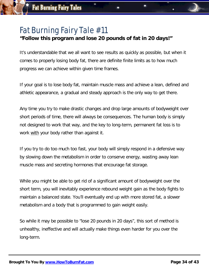#### **"Follow this program and lose 20 pounds of fat in 20 days!"**

It's understandable that we all want to see results as quickly as possible, but when it comes to properly losing body fat, there are definite finite limits as to how much progress we can achieve within given time frames.

If your goal is to lose body fat, maintain muscle mass and achieve a lean, defined and athletic appearance, a gradual and steady approach is the only way to get there.

Any time you try to make drastic changes and drop large amounts of bodyweight over short periods of time, there will always be consequences. The human body is simply not designed to work that way, and the key to long-term, permanent fat loss is to work with your body rather than against it.

If you try to do too much too fast, your body will simply respond in a defensive way by slowing down the metabolism in order to conserve energy, wasting away lean muscle mass and secreting hormones that encourage fat storage.

While you might be able to get rid of a significant amount of bodyweight over the short term, you will inevitably experience rebound weight gain as the body fights to maintain a balanced state. You'll eventually end up with more stored fat, a slower metabolism and a body that is programmed to gain weight easily.

So while it may be possible to "lose 20 pounds in 20 days", this sort of method is unhealthy, ineffective and will actually make things even harder for you over the long-term.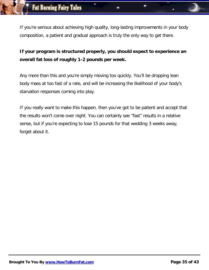If you're serious about achieving high quality, long-lasting improvements in your body composition, a patient and gradual approach is truly the only way to get there.

### **If your program is structured properly, you should expect to experience an overall fat loss of roughly 1-2 pounds per week.**

Any more than this and you're simply moving too quickly. You'll be dropping lean body mass at too fast of a rate, and will be increasing the likelihood of your body's starvation responses coming into play.

If you really want to make this happen, then you've got to be patient and accept that the results won't come over night. You can certainly see "fast" results in a relative sense, but if you're expecting to lose 15 pounds for that wedding 3 weeks away, forget about it.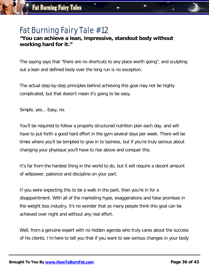#### **"You can achieve a lean, impressive, standout body without working hard for it."**

The saying says that "there are no shortcuts to any place worth going", and sculpting out a lean and defined body over the long run is no exception.

The actual step-by-step principles behind achieving this goal may not be highly complicated, but that doesn't mean it's going to be easy.

Simple, yes... Easy, no.

You'll be required to follow a properly structured nutrition plan each day, and will have to put forth a good hard effort in the gym several days per week. There will be times where you'll be tempted to give in to laziness, but if you're truly serious about changing your physique you'll have to rise above and conquer this.

It's far from the hardest thing in the world to do, but it will require a decent amount of willpower, patience and discipline on your part.

If you were expecting this to be a walk in the park, then you're in for a disappointment. With all of the marketing hype, exaggerations and false promises in the weight loss industry, it's no wonder that so many people think this goal can be achieved over night and without any real effort.

Well, from a genuine expert with no hidden agenda who truly cares about the success of his clients, I'm here to tell you that if you want to see serious changes in your body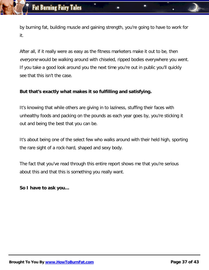by burning fat, building muscle and gaining strength, you're going to have to work for it.

After all, if it really were as easy as the fitness marketers make it out to be, then everyone would be walking around with chiseled, ripped bodies everywhere you went. If you take a good look around you the next time you're out in public you'll quickly see that this isn't the case.

#### **But that's exactly what makes it so fulfilling and satisfying.**

It's knowing that while others are giving in to laziness, stuffing their faces with unhealthy foods and packing on the pounds as each year goes by, you're sticking it out and being the best that you can be.

It's about being one of the select few who walks around with their held high, sporting the rare sight of a rock-hard, shaped and sexy body.

The fact that you've read through this entire report shows me that you're serious about this and that this is something you really want.

#### **So I have to ask you…**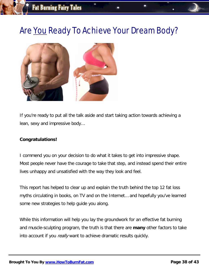# Are You Ready To Achieve Your Dream Body?



If you're ready to put all the talk aside and start taking action towards achieving a lean, sexy and impressive body…

#### **Congratulations!**

I commend you on your decision to do what it takes to get into impressive shape. Most people never have the courage to take that step, and instead spend their entire lives unhappy and unsatisfied with the way they look and feel.

This report has helped to clear up and explain the truth behind the top 12 fat loss myths circulating in books, on TV and on the Internet… and hopefully you've learned some new strategies to help guide you along.

While this information will help you lay the groundwork for an effective fat burning and muscle-sculpting program, the truth is that there are **many** other factors to take into account if you really want to achieve dramatic results quickly.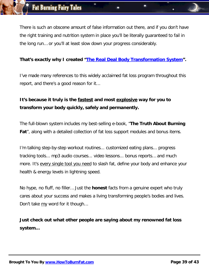There is such an obscene amount of false information out there, and if you don't have the right training and nutrition system in place you'll be literally guaranteed to fail in the long run… or you'll at least slow down your progress considerably.

#### **That's exactly why I created ["The Real Deal Body Transformation System"](http://nalewanyjfitness.com/go.php?offer=matynne54&pid=2).**

I've made many references to this widely acclaimed fat loss program throughout this report, and there's a good reason for it…

### **It's because it truly is the fastest and most explosive way for you to transform your body quickly, safely and permanently.**

The full-blown system includes my best-selling e-book, "**The Truth About Burning Fat**", along with a detailed collection of fat loss support modules and bonus items.

I'm talking step-by-step workout routines... customized eating plans... progress tracking tools... mp3 audio courses... video lessons... bonus reports… and much more. It's every single tool you need to slash fat, define your body and enhance your health & energy levels in lightning speed.

No hype, no fluff, no filler… Just the **honest** facts from a genuine expert who truly cares about your success and makes a living transforming people's bodies and lives. Don't take my word for it though…

**Just check out what other people are saying about my renowned fat loss system…**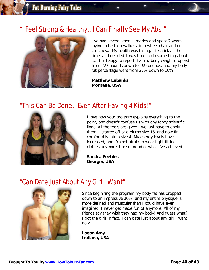### "I Feel Strong & Healthy… I Can Finally See My Abs!"



I've had several knee surgeries and spent 2 years laying in bed, on walkers, in a wheel chair and on crutches... My health was failing, I felt sick all the time, and decided it was time to do something about it... I'm happy to report that my body weight dropped from 227 pounds down to 199 pounds, and my body fat percentage went from 27% down to 10%!

**Matthew Eubanks Montana, USA**

### "This Can Be Done… Even After Having 4 Kids!"



I love how your program explains everything to the point, and doesn't confuse us with any fancy scientific lingo. All the tools are given - we just have to apply them. I started off at a plump size 16, and now fit comfortably into a size 4. My energy levels have increased, and I'm not afraid to wear tight-fitting clothes anymore. I'm so proud of what I've achieved!

**Sandra Peebles Georgia, USA**

### "Can Date Just About Any Girl I Want"



Since beginning the program my body fat has dropped down to an impressive 10%, and my entire physique is more defined and muscular than I could have ever imagined. I never get made fun of anymore. All of my friends say they wish they had my body! And guess what? I got the girl! In fact, I can date just about any girl I want now.

**Logan Amy Indiana, USA**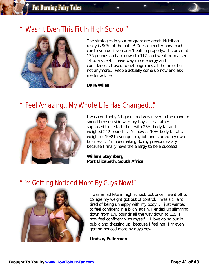### "I Wasn't Even This Fit In High School"



The strategies in your program are great. Nutrition really is 90% of the battle! Doesn't matter how much cardio you do if you aren't eating properly... I started at 175 pounds and am down to 112, and went from a size 14 to a size 4. I have way more energy and confidence… I used to get migraines all the time, but not anymore... People actually come up now and ask me for advice!

**Dara Wiles**

### "I Feel Amazing… My Whole Life Has Changed…"



I was constantly fatigued, and was never in the mood to spend time outside with my boys like a father is supposed to. I started off with 25% body fat and weighed 242 pounds... I'm now at 10% body fat at a weight of 198! I even quit my job and started my own business... I'm now making 3x my previous salary because I finally have the energy to be a success!

**Willem Steynberg Port Elizabeth, South Africa**

### "I'm Getting Noticed More By Guys Now!"



I was an athlete in high school, but once I went off to college my weight got out of control. I was sick and tired of being unhappy with my body... I just wanted to feel confident in a bikini again. I ended up slimming down from 176 pounds all the way down to 135! I now feel confident with myself... I love going out in public and dressing up, because I feel hot! I'm even getting noticed more by guys now…

**Lindsay Fullerman**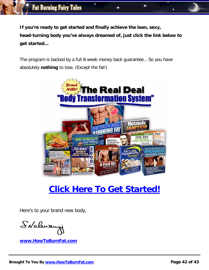**If you're ready to get started and finally achieve the lean, sexy, head-turning body you've always dreamed of, just click the link below to get started…**

The program is backed by a full 8-week money back guarantee… So you have absolutely **nothing** to lose. (Except the fat!)



# **[Click Here To Get Started!](http://nalewanyjfitness.com/go.php?offer=matynne54&pid=2)**

Here's to your brand new body,

SNaleway

**[www.HowToBurnFat.com](http://nalewanyjfitness.com/go.php?offer=matynne54&pid=2)**